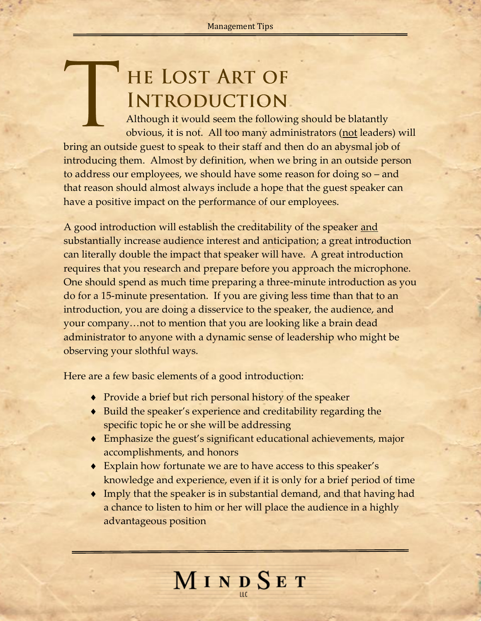## HE LOST ART OF **INTRODUCTION**

Although it would seem the following should be blatantly obvious, it is not. All too many administrators (not leaders) will bring an outside guest to speak to their staff and then do an abysmal job of introducing them. Almost by definition, when we bring in an outside person to address our employees, we should have some reason for doing so – and that reason should almost always include a hope that the guest speaker can have a positive impact on the performance of our employees.

A good introduction will establish the creditability of the speaker <u>and</u> substantially increase audience interest and anticipation; a great introduction can literally double the impact that speaker will have. A great introduction requires that you research and prepare before you approach the microphone. One should spend as much time preparing a three-minute introduction as you do for a 15-minute presentation. If you are giving less time than that to an introduction, you are doing a disservice to the speaker, the audience, and your company…not to mention that you are looking like a brain dead administrator to anyone with a dynamic sense of leadership who might be observing your slothful ways.

Here are a few basic elements of a good introduction:

- Provide a brief but rich personal history of the speaker
- ◆ Build the speaker's experience and creditability regarding the specific topic he or she will be addressing
- Emphasize the guest's significant educational achievements, major accomplishments, and honors
- Explain how fortunate we are to have access to this speaker's knowledge and experience, even if it is only for a brief period of time
- Imply that the speaker is in substantial demand, and that having had a chance to listen to him or her will place the audience in a highly advantageous position

MINDSET